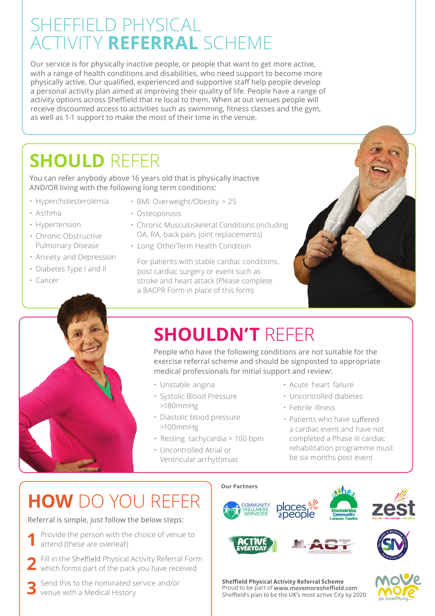# SHEFFIELD PHYSICAL ACTIVITY **REFERRAL** SCHEME

Our service is for physically inactive people, or people that want to get more active, with a range of health conditions and disabilities, who need support to become more physically active. Our qualified, experienced and supportive staff help people develop a personal activity plan aimed at improving their quality of life. People have a range of activity options across Sheffield that re local to them. When at out venues people will receive discounted access to activities such as swimming, fitness classes and the gym, as well as 1-1 support to make the most of their time in the venue.

# **SHOULD** REFER

You can refer anybody above 16 years old that is physically inactive AND/OR living with the following long term conditions:

- Hypercholesterolemia
- Asthma
- Hypertension
- Chronic Obstructive Pulmonary Disease
- Anxiety and Depression
- Diabetes Type I and II
- Cancer
- BMI Overweight/Obesity > 25
- Osteoporosis
- Chronic Musculoskeletal Conditions (including OA, RA, back pain, joint replacements)
- Long OtherTerm Health Condition

For patients with stable cardiac conditions, post cardiac surgery or event such as stroke and heart attack (Please complete a BACPR Form in place of this form)





# **SHOULDN'T** REFER

People who have the following conditions are not suitable for the exercise referral scheme and should be signposted to appropriate medical professionals for initial support and review:

- Unstable angina
- Systolic Blood Pressure >180mmHg
- Diastolic blood pressure >100mmHg
- Resting tachycardia > 100 bpm
- Uncontrolled Atrial or Ventricular arrhythmias
- Acute heart failure
- Uncontrolled diabetes
- Febrile illness
- Patients who have suffered a cardiac event and have not completed a Phase III cardiac rehabilitation programme must be six months post event

# **HOW** DO YOU REFER

Referral is simple, just follow the below steps:

- Provide the person with the choice of venue to attend (these are overleaf) **1**
- Fill in the Sheffield Physical Activity Referral Form which forms part of the pack you have received **2**

Send this to the nominated service and/or venue with a Medical History **3**







**Sheffield Physical Activity Referral Scheme** Proud to be part of www.movemoresheffield.com<br>Sheffield's plan to be the UK's most active City by 2020

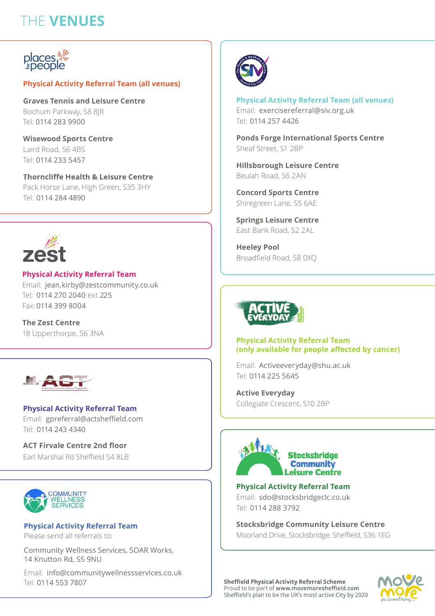## THE **VENUES**



#### **Physical Activity Referral Team (all venues)**

**Graves Tennis and Leisure Centre** Bochum Parkway, S8 8JR Tel: 0114 283 9900

**Wisewood Sports Centre** Laird Road, S6 4BS Tel: 0114 233 5457

**Thorncliffe Health & Leisure Centre** Pack Horse Lane, High Green, S35 3HY Tel: 0114 284 4890



**Physical Activity Referral Team** Email: jean.kirby@zestcommunity.co.uk Tel: 0114 270 2040 ext 225 Fax: 0114 399 8004

**The Zest Centre** 18 Upperthorpe, S6 3NA



Email: gpreferral@actsheffield.com Tel: 0114 243 4340 **Physical Activity Referral Team**

**ACT Firvale Centre 2nd floor** Earl Marshal Rd Sheffield S4 8LB



**Physical Activity Referral Team** Please send all referrals to:

Community Wellness Services, SOAR Works, 14 Knutton Rd, S5 9NU

Email: info@communitywellnessservices.co.uk Tel: 0114 553 7807



#### **Physical Activity Referral Team (all venues)**

Email: exercisereferral@siv.org.uk Tel: 0114 257 4426

**Ponds Forge International Sports Centre** Sheaf Street, S1 2BP

**Hillsborough Leisure Centre** Beulah Road, S6 2AN

**Concord Sports Centre** Shiregreen Lane, S5 6AE

**Springs Leisure Centre** East Bank Road, S2 2AL

**Heeley Pool** Broadfield Road, S8 0XQ



#### **Physical Activity Referral Team (only available for people affected by cancer)**

Email: Activeeveryday@shu.ac.uk Tel: 0114 225 5645

**Active Everyday** Collegiate Crescent, S10 2BP



**Physical Activity Referral Team** Email: sdo@stocksbridgeclc.co.uk Tel: 0114 288 3792

**Stocksbridge Community Leisure Centre** Moorland Drive, Stocksbridge, Sheffield, S36 1EG

**Sheffield Physical Activity Referral Scheme** Proud to be part of www.movemoresheffield.com<br>Sheffield's plan to be the UK's most active City by 2020

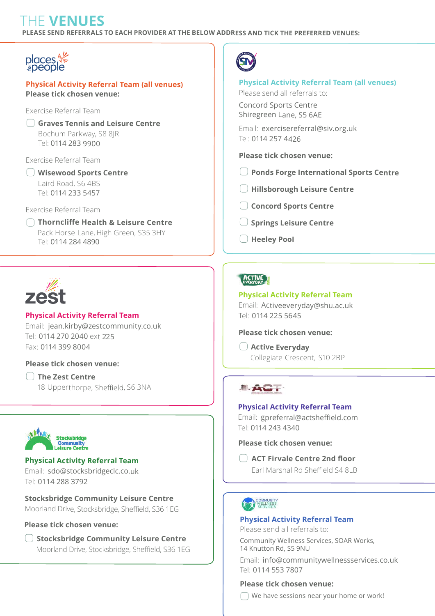### THE **VENUES**

**PLEASE SEND REFERRALS TO EACH PROVIDER AT THE BELOW ADDRESS AND TICK THE PREFERRED VENUES:**



#### **Physical Activity Referral Team (all venues) Please tick chosen venue:**

#### Exercise Referral Team

**Graves Tennis and Leisure Centre** Bochum Parkway, S8 8JR Tel: 0114 283 9900

Exercise Referral Team

**Wisewood Sports Centre** Laird Road, S6 4BS Tel: 0114 233 5457

Exercise Referral Team

**Thorncliffe Health & Leisure Centre** Tel: 0114 284 4890 Pack Horse Lane, High Green, S35 3HY



#### **Physical Activity Referral Team**

Email: jean.kirby@zestcommunity.co.uk Tel: 0114 270 2040 ext 225Fax: 0114 399 8004

#### **Please tick chosen venue:**

18 Upperthorpe, Sheffield, S6 3NA **The Zest Centre**



Tel: 0114 288 3792

#### **Physical Activity Referral Team** Email: sdo@stocksbridgeclc.co.uk

**Stocksbridge Community Leisure Centre** Moorland Drive, Stocksbridge, Sheffield, S36 1EG

#### **Please tick chosen venue:**

**Stocksbridge Community Leisure Centre** Moorland Drive, Stocksbridge, Sheffield, S36 1EG



#### **Physical Activity Referral Team (all venues)**

Please send all referrals to:

Concord Sports Centre Shiregreen Lane, S5 6AE

Email: exercisereferral@siv.org.uk Tel: 0114 257 4426

#### **Please tick chosen venue:**

- **Ponds Forge International Sports Centre**
- **Hillsborough Leisure Centre**
- **Concord Sports Centre**
- **Springs Leisure Centre**
- **Heeley Pool**

### **ACTIVE**

#### **Physical Activity Referral Team**

Email: Activeeveryday@shu.ac.uk Tel: 0114 225 5645

#### **Please tick chosen venue:**

**Active Everyday** Collegiate Crescent, S10 2BP

### LAC.

#### **Physical Activity Referral Team**

Email: gpreferral@actsheffield.com Tel: 0114 243 4340

**Please tick chosen venue:**

**ACT Firvale Centre 2nd floor** Earl Marshal Rd Sheffield S4 8LB

#### **Physical Activity Referral Team**

Please send all referrals to:

Community Wellness Services, SOAR Works, 14 Knutton Rd, S5 9NU

Email: info@communitywellnessservices.co.uk Tel: 0114 553 7807

#### **Please tick chosen venue:**

We have sessions near your home or work!